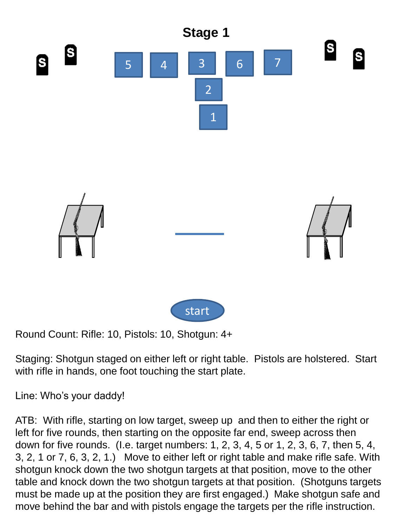

Round Count: Rifle: 10, Pistols: 10, Shotgun: 4+

Staging: Shotgun staged on either left or right table. Pistols are holstered. Start with rifle in hands, one foot touching the start plate.

Line: Who's your daddy!

ATB: With rifle, starting on low target, sweep up and then to either the right or left for five rounds, then starting on the opposite far end, sweep across then down for five rounds. (I.e. target numbers: 1, 2, 3, 4, 5 or 1, 2, 3, 6, 7, then 5, 4, 3, 2, 1 or 7, 6, 3, 2, 1.) Move to either left or right table and make rifle safe. With shotgun knock down the two shotgun targets at that position, move to the other table and knock down the two shotgun targets at that position. (Shotguns targets must be made up at the position they are first engaged.) Make shotgun safe and move behind the bar and with pistols engage the targets per the rifle instruction.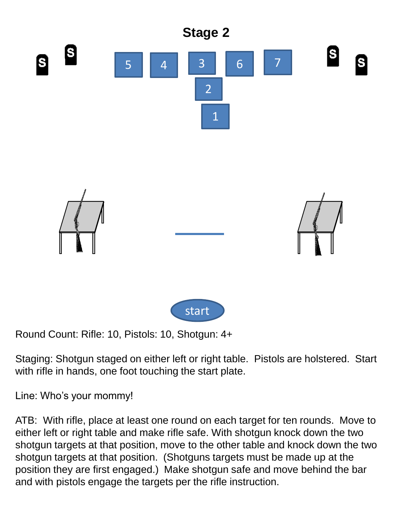

Round Count: Rifle: 10, Pistols: 10, Shotgun: 4+

Staging: Shotgun staged on either left or right table. Pistols are holstered. Start with rifle in hands, one foot touching the start plate.

Line: Who's your mommy!

ATB: With rifle, place at least one round on each target for ten rounds. Move to either left or right table and make rifle safe. With shotgun knock down the two shotgun targets at that position, move to the other table and knock down the two shotgun targets at that position. (Shotguns targets must be made up at the position they are first engaged.) Make shotgun safe and move behind the bar and with pistols engage the targets per the rifle instruction.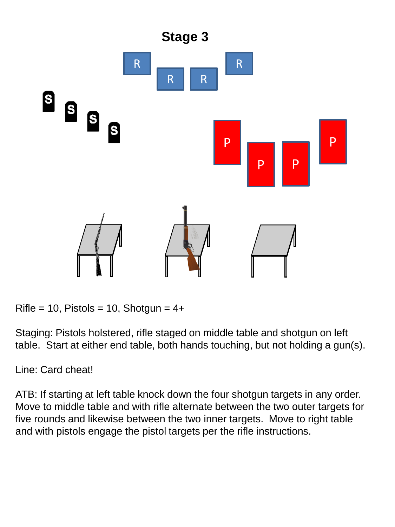

Rifle = 10, Pistols = 10, Shotgun =  $4+$ 

Staging: Pistols holstered, rifle staged on middle table and shotgun on left table. Start at either end table, both hands touching, but not holding a gun(s).

Line: Card cheat!

ATB: If starting at left table knock down the four shotgun targets in any order. Move to middle table and with rifle alternate between the two outer targets for five rounds and likewise between the two inner targets. Move to right table and with pistols engage the pistol targets per the rifle instructions.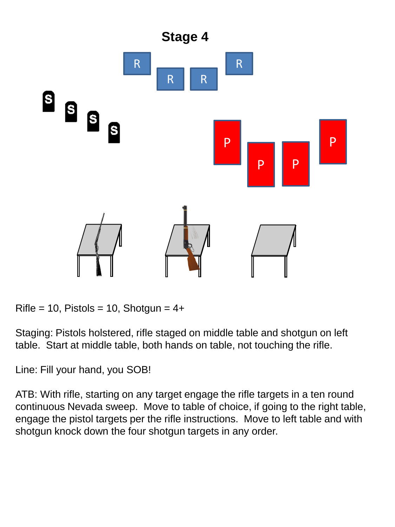

Rifle = 10, Pistols = 10, Shotgun =  $4+$ 

Staging: Pistols holstered, rifle staged on middle table and shotgun on left table. Start at middle table, both hands on table, not touching the rifle.

Line: Fill your hand, you SOB!

ATB: With rifle, starting on any target engage the rifle targets in a ten round continuous Nevada sweep. Move to table of choice, if going to the right table, engage the pistol targets per the rifle instructions. Move to left table and with shotgun knock down the four shotgun targets in any order.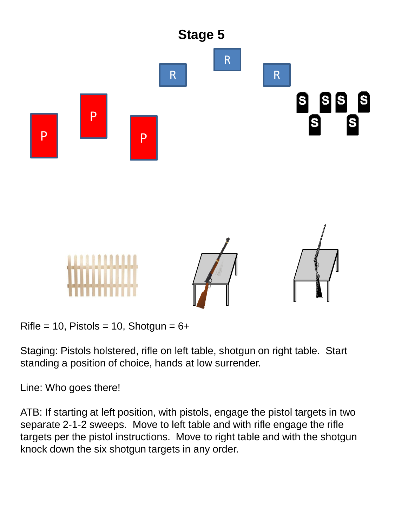

Rifle = 10, Pistols = 10, Shotgun =  $6+$ 

Staging: Pistols holstered, rifle on left table, shotgun on right table. Start standing a position of choice, hands at low surrender.

Line: Who goes there!

ATB: If starting at left position, with pistols, engage the pistol targets in two separate 2-1-2 sweeps. Move to left table and with rifle engage the rifle targets per the pistol instructions. Move to right table and with the shotgun knock down the six shotgun targets in any order.